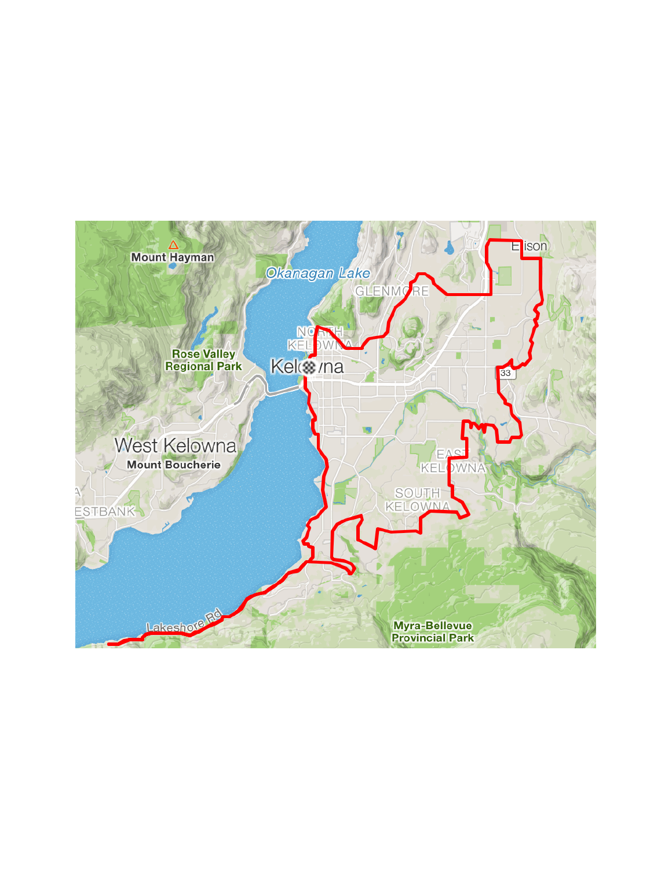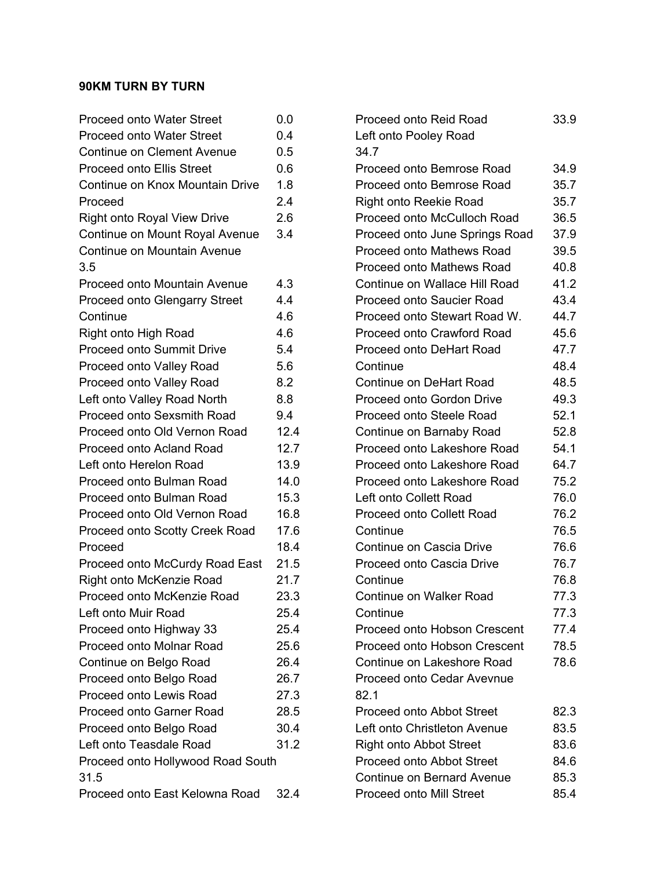## **90KM TURN BY TURN**

| <b>Proceed onto Water Street</b>     | 0.0  |
|--------------------------------------|------|
| <b>Proceed onto Water Street</b>     | 0.4  |
| <b>Continue on Clement Avenue</b>    | 0.5  |
| <b>Proceed onto Ellis Street</b>     | 0.6  |
| Continue on Knox Mountain Drive      | 1.8  |
| Proceed                              | 2.4  |
| <b>Right onto Royal View Drive</b>   | 2.6  |
| Continue on Mount Royal Avenue       | 3.4  |
| Continue on Mountain Avenue          |      |
| 3.5                                  |      |
| Proceed onto Mountain Avenue         | 4.3  |
| <b>Proceed onto Glengarry Street</b> | 4.4  |
| Continue                             | 4.6  |
| Right onto High Road                 | 4.6  |
| <b>Proceed onto Summit Drive</b>     | 5.4  |
| Proceed onto Valley Road             | 5.6  |
| Proceed onto Valley Road             | 8.2  |
| Left onto Valley Road North          | 8.8  |
| <b>Proceed onto Sexsmith Road</b>    | 9.4  |
| Proceed onto Old Vernon Road         | 12.4 |
| Proceed onto Acland Road             | 12.7 |
| Left onto Herelon Road               | 13.9 |
| Proceed onto Bulman Road             | 14.0 |
| Proceed onto Bulman Road             | 15.3 |
| Proceed onto Old Vernon Road         | 16.8 |
| Proceed onto Scotty Creek Road       | 17.6 |
| Proceed                              | 18.4 |
| Proceed onto McCurdy Road East       | 21.5 |
| Right onto McKenzie Road             | 21.7 |
| Proceed onto McKenzie Road           | 23.3 |
| Left onto Muir Road                  | 25.4 |
| Proceed onto Highway 33              | 25.4 |
| Proceed onto Molnar Road             | 25.6 |
| Continue on Belgo Road               | 26.4 |
| Proceed onto Belgo Road              | 26.7 |
| Proceed onto Lewis Road              | 27.3 |
| Proceed onto Garner Road             | 28.5 |
| Proceed onto Belgo Road              | 30.4 |
| Left onto Teasdale Road              | 31.2 |
| Proceed onto Hollywood Road South    |      |
| 31.5                                 |      |
| Proceed onto East Kelowna Road       | 32.4 |
|                                      |      |

| Proceed onto Reid Road            | 33.9 |
|-----------------------------------|------|
| Left onto Pooley Road             |      |
| 34.7                              |      |
| Proceed onto Bemrose Road         | 34.9 |
| Proceed onto Bemrose Road         | 35.7 |
| <b>Right onto Reekie Road</b>     | 35.7 |
| Proceed onto McCulloch Road       | 36.5 |
| Proceed onto June Springs Road    | 37.9 |
| <b>Proceed onto Mathews Road</b>  | 39.5 |
| <b>Proceed onto Mathews Road</b>  | 40.8 |
| Continue on Wallace Hill Road     | 41.2 |
| <b>Proceed onto Saucier Road</b>  | 43.4 |
| Proceed onto Stewart Road W.      | 44.7 |
| <b>Proceed onto Crawford Road</b> | 45.6 |
| Proceed onto DeHart Road          | 47.7 |
| Continue                          | 48.4 |
| Continue on DeHart Road           | 48.5 |
| <b>Proceed onto Gordon Drive</b>  | 49.3 |
| Proceed onto Steele Road          | 52.1 |
| Continue on Barnaby Road          | 52.8 |
| Proceed onto Lakeshore Road       | 54.1 |
| Proceed onto Lakeshore Road       | 64.7 |
| Proceed onto Lakeshore Road       | 75.2 |
| Left onto Collett Road            | 76.0 |
| <b>Proceed onto Collett Road</b>  | 76.2 |
| Continue                          | 76.5 |
| Continue on Cascia Drive          | 76.6 |
| <b>Proceed onto Cascia Drive</b>  | 76.7 |
| Continue                          | 76.8 |
| <b>Continue on Walker Road</b>    | 77.3 |
| Continue                          | 77.3 |
| Proceed onto Hobson Crescent      | 77.4 |
| Proceed onto Hobson Crescent      | 78.5 |
| Continue on Lakeshore Road        | 78.6 |
| <b>Proceed onto Cedar Avevnue</b> |      |
| 82.1                              |      |
| Proceed onto Abbot Street         | 82.3 |
| Left onto Christleton Avenue      | 83.5 |
| <b>Right onto Abbot Street</b>    | 83.6 |
| <b>Proceed onto Abbot Street</b>  | 84.6 |
| Continue on Bernard Avenue        | 85.3 |
| <b>Proceed onto Mill Street</b>   | 85.4 |